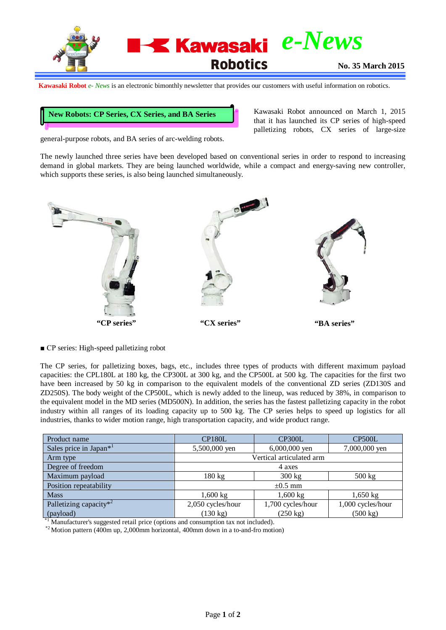

**Kawasaki Robot** *e- News* is an electronic bimonthly newsletter that provides our customers with useful information on robotics.

## **New Robots: CP Series, CX Series, and BA Series**

Kawasaki Robot announced on March 1, 2015 that it has launched its CP series of high-speed palletizing robots, CX series of large-size

general-purpose robots, and BA series of arc-welding robots.

The newly launched three series have been developed based on conventional series in order to respond to increasing demand in global markets. They are being launched worldwide, while a compact and energy-saving new controller, which supports these series, is also being launched simultaneously.



■ CP series: High-speed palletizing robot

The CP series, for palletizing boxes, bags, etc., includes three types of products with different maximum payload capacities: the CPL180L at 180 kg, the CP300L at 300 kg, and the CP500L at 500 kg. The capacities for the first two have been increased by 50 kg in comparison to the equivalent models of the conventional ZD series (ZD130S and ZD250S). The body weight of the CP500L, which is newly added to the lineup, was reduced by 38%, in comparison to the equivalent model in the MD series (MD500N). In addition, the series has the fastest palletizing capacity in the robot industry within all ranges of its loading capacity up to 500 kg. The CP series helps to speed up logistics for all industries, thanks to wider motion range, high transportation capacity, and wide product range.

| Product name                       | CP <sub>180</sub> L      | CP300L             | CP <sub>500</sub> L |
|------------------------------------|--------------------------|--------------------|---------------------|
| Sales price in Japan* <sup>1</sup> | 5,500,000 yen            | 6,000,000 yen      | 7,000,000 yen       |
| Arm type                           | Vertical articulated arm |                    |                     |
| Degree of freedom                  | 4 axes                   |                    |                     |
| Maximum payload                    | $180 \text{ kg}$         | $300 \text{ kg}$   | $500 \text{ kg}$    |
| Position repeatability             | $\pm 0.5$ mm             |                    |                     |
| <b>Mass</b>                        | $1,600 \text{ kg}$       | 1,600 kg           | $1,650 \text{ kg}$  |
| Palletizing capacity $*^2$         | 2,050 cycles/hour        | 1,700 cycles/hour  | 1,000 cycles/hour   |
| (payload)<br>$*1$                  | $(130 \text{ kg})$       | $(250 \text{ kg})$ | $(500 \text{ kg})$  |

<sup>\*1</sup> Manufacturer's suggested retail price (options and consumption tax not included).  $^{*2}$  Motion pattern (400m up, 2,000mm horizontal, 400mm down in a to-and-fro motion)